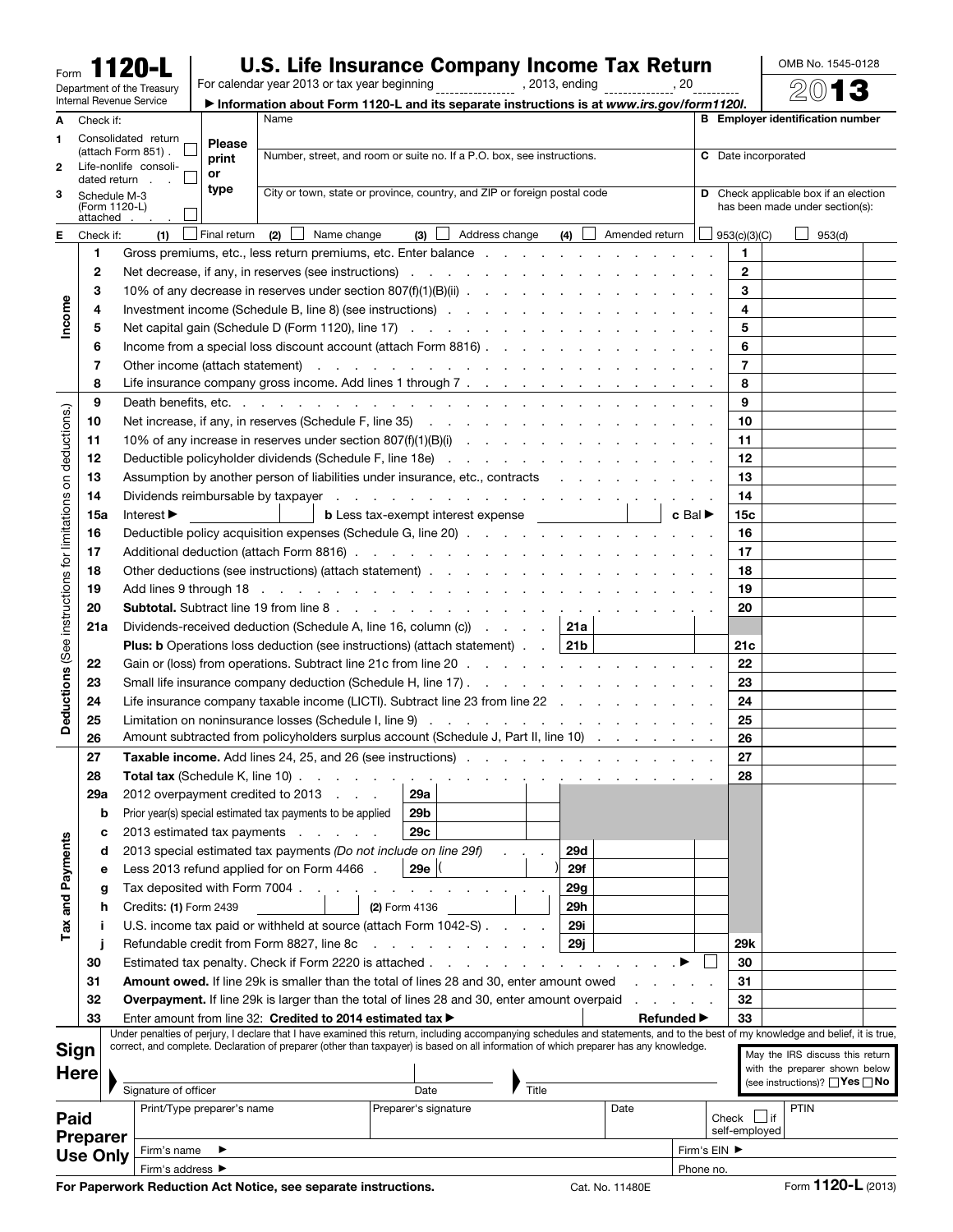| U.S. Life Insurance Company Income Tax Return |  |  |  |  |
|-----------------------------------------------|--|--|--|--|
|-----------------------------------------------|--|--|--|--|

OMB No. 1545-0128  $\overline{\circ}$ 

|                                              |                 |                               | Department of the Treasury      |                            | For calendar year 2013 or tax year beginning                                                                                                                                                                                                                                                                              |             |                                                |                                           | , 2013, ending |                       | , 20                          |              |                   |                                                                           |  |
|----------------------------------------------|-----------------|-------------------------------|---------------------------------|----------------------------|---------------------------------------------------------------------------------------------------------------------------------------------------------------------------------------------------------------------------------------------------------------------------------------------------------------------------|-------------|------------------------------------------------|-------------------------------------------|----------------|-----------------------|-------------------------------|--------------|-------------------|---------------------------------------------------------------------------|--|
| A                                            | Check if:       |                               | Internal Revenue Service        |                            | Information about Form 1120-L and its separate instructions is at www.irs.gov/form1120l.<br>Name                                                                                                                                                                                                                          |             |                                                |                                           |                |                       |                               |              |                   | <b>B</b> Employer identification number                                   |  |
|                                              |                 |                               | Consolidated return             |                            |                                                                                                                                                                                                                                                                                                                           |             |                                                |                                           |                |                       |                               |              |                   |                                                                           |  |
| 1                                            |                 |                               | (attach Form 851).              | <b>Please</b>              | Number, street, and room or suite no. If a P.O. box, see instructions.                                                                                                                                                                                                                                                    |             |                                                |                                           |                |                       |                               |              |                   | C Date incorporated                                                       |  |
| 2                                            |                 |                               | Life-nonlife consoli-           | print<br>or                |                                                                                                                                                                                                                                                                                                                           |             |                                                |                                           |                |                       |                               |              |                   |                                                                           |  |
| з                                            |                 | dated return.                 |                                 | type                       | City or town, state or province, country, and ZIP or foreign postal code                                                                                                                                                                                                                                                  |             |                                                |                                           |                |                       |                               |              |                   | Check applicable box if an election                                       |  |
|                                              |                 | Schedule M-3<br>(Form 1120-L) |                                 |                            |                                                                                                                                                                                                                                                                                                                           |             |                                                |                                           |                |                       |                               |              |                   | has been made under section(s):                                           |  |
|                                              | attached        |                               |                                 |                            |                                                                                                                                                                                                                                                                                                                           |             |                                                |                                           |                |                       |                               |              |                   |                                                                           |  |
| Е                                            | Check if:       |                               | (1)<br>$\Box$                   | Final return               | $(2)$ $\Box$                                                                                                                                                                                                                                                                                                              | Name change | (3)                                            | Address change                            | (4)            | Amended return $\Box$ |                               |              | 953(c)(3)(C)      | 953(d)                                                                    |  |
|                                              | 1.              |                               |                                 |                            |                                                                                                                                                                                                                                                                                                                           |             |                                                |                                           |                |                       |                               |              | 1<br>$\mathbf{2}$ |                                                                           |  |
|                                              | 2<br>3          |                               |                                 |                            |                                                                                                                                                                                                                                                                                                                           |             |                                                |                                           |                |                       |                               |              | 3                 |                                                                           |  |
|                                              | 4               |                               |                                 |                            |                                                                                                                                                                                                                                                                                                                           |             |                                                |                                           |                |                       |                               |              | 4                 |                                                                           |  |
| Income                                       |                 |                               |                                 |                            |                                                                                                                                                                                                                                                                                                                           |             |                                                |                                           |                |                       |                               |              | 5                 |                                                                           |  |
|                                              | 5<br>6          |                               |                                 |                            |                                                                                                                                                                                                                                                                                                                           |             |                                                |                                           |                |                       |                               |              | 6                 |                                                                           |  |
|                                              | 7               |                               |                                 |                            | Other income (attach statement) and a contract the contract of the contract of the contract of the contract of the contract of the contract of the contract of the contract of the contract of the contract of the contract of                                                                                            |             |                                                |                                           |                |                       |                               |              | 7                 |                                                                           |  |
|                                              | 8               |                               |                                 |                            |                                                                                                                                                                                                                                                                                                                           |             |                                                |                                           |                |                       |                               |              | 8                 |                                                                           |  |
|                                              | 9               |                               |                                 |                            |                                                                                                                                                                                                                                                                                                                           |             |                                                |                                           |                |                       |                               |              | 9                 |                                                                           |  |
|                                              | 10              |                               |                                 |                            |                                                                                                                                                                                                                                                                                                                           |             |                                                |                                           |                |                       |                               |              | 10                |                                                                           |  |
|                                              | 11              |                               |                                 |                            |                                                                                                                                                                                                                                                                                                                           |             |                                                |                                           |                |                       |                               |              | 11                |                                                                           |  |
| on deductions.)                              | 12              |                               |                                 |                            |                                                                                                                                                                                                                                                                                                                           |             |                                                |                                           |                |                       |                               |              | 12                |                                                                           |  |
|                                              | 13              |                               |                                 |                            | Assumption by another person of liabilities under insurance, etc., contracts                                                                                                                                                                                                                                              |             |                                                |                                           |                |                       |                               |              | 13                |                                                                           |  |
|                                              | 14              |                               |                                 |                            |                                                                                                                                                                                                                                                                                                                           |             |                                                |                                           |                |                       |                               |              | 14                |                                                                           |  |
| Deductions (See instructions for limitations | 15a             |                               | Interest ▶                      |                            |                                                                                                                                                                                                                                                                                                                           |             |                                                | <b>b</b> Less tax-exempt interest expense |                |                       | $c$ Bal $\blacktriangleright$ |              | 15c               |                                                                           |  |
|                                              | 16              |                               |                                 |                            | Deductible policy acquisition expenses (Schedule G, line 20)                                                                                                                                                                                                                                                              |             |                                                |                                           |                |                       |                               |              | 16                |                                                                           |  |
|                                              | 17              |                               |                                 |                            |                                                                                                                                                                                                                                                                                                                           |             |                                                |                                           |                |                       |                               |              | 17                |                                                                           |  |
|                                              | 18              |                               |                                 |                            |                                                                                                                                                                                                                                                                                                                           |             |                                                |                                           |                |                       |                               |              | 18                |                                                                           |  |
|                                              | 19              |                               |                                 |                            |                                                                                                                                                                                                                                                                                                                           |             |                                                |                                           |                |                       |                               |              | 19                |                                                                           |  |
|                                              | 20              |                               |                                 |                            |                                                                                                                                                                                                                                                                                                                           |             |                                                |                                           |                |                       |                               |              | 20                |                                                                           |  |
|                                              | 21a             |                               |                                 |                            | Dividends-received deduction (Schedule A, line 16, column (c) 21a                                                                                                                                                                                                                                                         |             |                                                |                                           |                |                       |                               |              |                   |                                                                           |  |
|                                              |                 |                               |                                 |                            | <b>Plus: b</b> Operations loss deduction (see instructions) (attach statement) $\ldots$   21b                                                                                                                                                                                                                             |             |                                                |                                           |                |                       |                               |              | 21c               |                                                                           |  |
|                                              | 22              |                               |                                 |                            |                                                                                                                                                                                                                                                                                                                           |             |                                                |                                           |                |                       |                               |              | 22                |                                                                           |  |
|                                              | 23              |                               |                                 |                            |                                                                                                                                                                                                                                                                                                                           |             |                                                |                                           |                |                       |                               |              | 23                |                                                                           |  |
|                                              | 24              |                               |                                 |                            | Life insurance company taxable income (LICTI). Subtract line 23 from line 22                                                                                                                                                                                                                                              |             |                                                |                                           |                |                       |                               |              | 24                |                                                                           |  |
|                                              | 25              |                               |                                 |                            |                                                                                                                                                                                                                                                                                                                           |             |                                                |                                           |                |                       |                               |              | 25                |                                                                           |  |
|                                              | 26              |                               |                                 |                            | Amount subtracted from policyholders surplus account (Schedule J, Part II, line 10)                                                                                                                                                                                                                                       |             |                                                |                                           |                |                       |                               |              | 26                |                                                                           |  |
|                                              | 27              |                               |                                 |                            |                                                                                                                                                                                                                                                                                                                           |             |                                                |                                           |                |                       |                               |              | 27<br>28          |                                                                           |  |
|                                              | 28              |                               | Total tax (Schedule K, line 10) |                            |                                                                                                                                                                                                                                                                                                                           |             |                                                |                                           |                |                       |                               |              |                   |                                                                           |  |
|                                              | 29a             |                               |                                 |                            | 2012 overpayment credited to 2013                                                                                                                                                                                                                                                                                         |             | 29a                                            |                                           |                |                       |                               |              |                   |                                                                           |  |
|                                              | b               |                               |                                 |                            | Prior year(s) special estimated tax payments to be applied<br>2013 estimated tax payments                                                                                                                                                                                                                                 |             | 29 <sub>b</sub><br>29c                         |                                           |                |                       |                               |              |                   |                                                                           |  |
|                                              | c<br>d          |                               |                                 |                            | 2013 special estimated tax payments (Do not include on line 29f)                                                                                                                                                                                                                                                          |             |                                                |                                           | 29d            |                       |                               |              |                   |                                                                           |  |
|                                              | е               |                               |                                 |                            | Less 2013 refund applied for on Form 4466.                                                                                                                                                                                                                                                                                |             | $29e$ $($                                      |                                           | <b>29f</b>     |                       |                               |              |                   |                                                                           |  |
|                                              | g               |                               | Tax deposited with Form 7004.   |                            |                                                                                                                                                                                                                                                                                                                           |             | $\mathbf{r}$ and $\mathbf{r}$ and $\mathbf{r}$ |                                           | 29g            |                       |                               |              |                   |                                                                           |  |
| and Payments                                 | h               |                               | Credits: (1) Form 2439          |                            |                                                                                                                                                                                                                                                                                                                           |             | (2) Form 4136                                  |                                           | 29h            |                       |                               |              |                   |                                                                           |  |
| Tax                                          | Ť               |                               |                                 |                            | U.S. income tax paid or withheld at source (attach Form 1042-S)                                                                                                                                                                                                                                                           |             |                                                |                                           | <b>29i</b>     |                       |                               |              |                   |                                                                           |  |
|                                              | j               |                               |                                 |                            | Refundable credit from Form 8827, line 8c                                                                                                                                                                                                                                                                                 |             | the contract of the contract of the            |                                           | 29j            |                       |                               |              | 29k               |                                                                           |  |
|                                              | 30              |                               |                                 |                            |                                                                                                                                                                                                                                                                                                                           |             |                                                |                                           |                |                       |                               |              | 30                |                                                                           |  |
|                                              | 31              |                               |                                 |                            | Amount owed. If line 29k is smaller than the total of lines 28 and 30, enter amount owed                                                                                                                                                                                                                                  |             |                                                |                                           |                |                       |                               |              | 31                |                                                                           |  |
|                                              | 32              |                               |                                 |                            | Overpayment. If line 29k is larger than the total of lines 28 and 30, enter amount overpaid                                                                                                                                                                                                                               |             |                                                |                                           |                |                       |                               |              | 32                |                                                                           |  |
|                                              | 33              |                               |                                 |                            | Enter amount from line 32: Credited to 2014 estimated tax >                                                                                                                                                                                                                                                               |             |                                                |                                           |                | <b>Refunded</b> ▶     |                               |              | 33                |                                                                           |  |
|                                              |                 |                               |                                 |                            | Under penalties of perjury, I declare that I have examined this return, including accompanying schedules and statements, and to the best of my knowledge and belief, it is true,<br>correct, and complete. Declaration of preparer (other than taxpayer) is based on all information of which preparer has any knowledge. |             |                                                |                                           |                |                       |                               |              |                   |                                                                           |  |
| Sign                                         |                 |                               |                                 |                            |                                                                                                                                                                                                                                                                                                                           |             |                                                |                                           |                |                       |                               |              |                   | May the IRS discuss this return                                           |  |
| <b>Here</b>                                  |                 |                               |                                 |                            |                                                                                                                                                                                                                                                                                                                           |             |                                                |                                           |                |                       |                               |              |                   | with the preparer shown below<br>(see instructions)? $\Box$ Yes $\Box$ No |  |
|                                              |                 |                               | Signature of officer            |                            |                                                                                                                                                                                                                                                                                                                           |             | Date                                           | Title                                     |                |                       |                               |              |                   |                                                                           |  |
| Paid                                         |                 |                               |                                 | Print/Type preparer's name |                                                                                                                                                                                                                                                                                                                           |             | Preparer's signature                           |                                           |                | Date                  |                               |              | Check $\Box$ if   | <b>PTIN</b>                                                               |  |
|                                              | <b>Preparer</b> |                               |                                 |                            |                                                                                                                                                                                                                                                                                                                           |             |                                                |                                           |                |                       |                               |              | self-employed     |                                                                           |  |
|                                              | <b>Use Only</b> |                               | Firm's name                     |                            |                                                                                                                                                                                                                                                                                                                           |             |                                                |                                           |                |                       |                               | Firm's EIN ▶ |                   |                                                                           |  |
|                                              |                 |                               | Firm's address ▶                |                            |                                                                                                                                                                                                                                                                                                                           |             |                                                |                                           |                |                       |                               | Phone no.    |                   |                                                                           |  |

Form 1120-L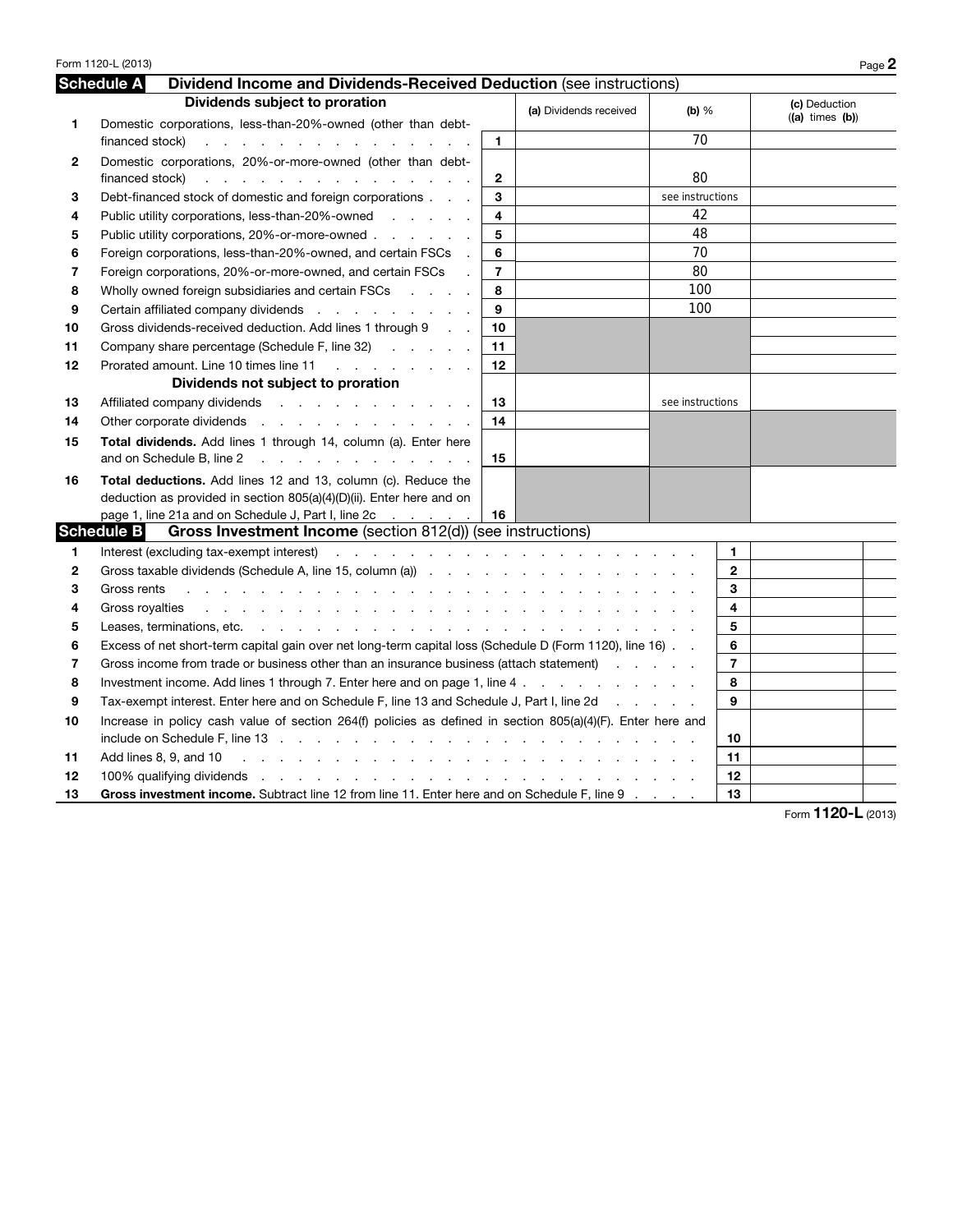|              | Form 1120-L (2013)                                                                                                                                                                                                                               |                |                        |                  |                         |                     | Page 2 |
|--------------|--------------------------------------------------------------------------------------------------------------------------------------------------------------------------------------------------------------------------------------------------|----------------|------------------------|------------------|-------------------------|---------------------|--------|
|              | <b>Schedule A</b><br>Dividend Income and Dividends-Received Deduction (see instructions)                                                                                                                                                         |                |                        |                  |                         |                     |        |
|              | Dividends subject to proration                                                                                                                                                                                                                   |                | (a) Dividends received | $(b)$ %          |                         | (c) Deduction       |        |
| 1.           | Domestic corporations, less-than-20%-owned (other than debt-                                                                                                                                                                                     |                |                        |                  |                         | $((a)$ times $(b))$ |        |
|              | financed stock)<br>المنافر والمنافر والمنافر والمنافر والمنافر والمراقب                                                                                                                                                                          | $\blacksquare$ |                        | 70               |                         |                     |        |
| $\mathbf{2}$ | Domestic corporations, 20%-or-more-owned (other than debt-                                                                                                                                                                                       |                |                        |                  |                         |                     |        |
|              | financed stock)<br>and a series of the contract of the contract of the contract of                                                                                                                                                               | $\mathbf{2}$   |                        | 80               |                         |                     |        |
| 3            | Debt-financed stock of domestic and foreign corporations                                                                                                                                                                                         | 3              |                        | see instructions |                         |                     |        |
| 4            | Public utility corporations, less-than-20%-owned                                                                                                                                                                                                 | 4              |                        | 42               |                         |                     |        |
| 5            | Public utility corporations, 20%-or-more-owned                                                                                                                                                                                                   | 5              |                        | 48               |                         |                     |        |
| 6            | Foreign corporations, less-than-20%-owned, and certain FSCs<br>$\sim$                                                                                                                                                                            | 6              |                        | 70               |                         |                     |        |
| 7            | Foreign corporations, 20%-or-more-owned, and certain FSCs<br>$\mathbf{r}$                                                                                                                                                                        | $\overline{7}$ |                        | 80               |                         |                     |        |
| 8            | Wholly owned foreign subsidiaries and certain FSCs                                                                                                                                                                                               | 8              |                        | 100              |                         |                     |        |
| 9            | Certain affiliated company dividends                                                                                                                                                                                                             | 9              |                        | 100              |                         |                     |        |
| 10           | Gross dividends-received deduction. Add lines 1 through 9                                                                                                                                                                                        | 10             |                        |                  |                         |                     |        |
| 11           | Company share percentage (Schedule F, line 32)                                                                                                                                                                                                   | 11             |                        |                  |                         |                     |        |
| 12           | Prorated amount. Line 10 times line 11                                                                                                                                                                                                           | 12             |                        |                  |                         |                     |        |
|              | Dividends not subject to proration                                                                                                                                                                                                               |                |                        |                  |                         |                     |        |
| 13           | Affiliated company dividends                                                                                                                                                                                                                     | 13             |                        | see instructions |                         |                     |        |
| 14           | Other corporate dividends                                                                                                                                                                                                                        | 14             |                        |                  |                         |                     |        |
| 15           | Total dividends. Add lines 1 through 14, column (a). Enter here                                                                                                                                                                                  |                |                        |                  |                         |                     |        |
|              | and on Schedule B, line 2<br>the contract of the contract of the contract of                                                                                                                                                                     | 15             |                        |                  |                         |                     |        |
| 16           | <b>Total deductions.</b> Add lines 12 and 13, column (c). Reduce the                                                                                                                                                                             |                |                        |                  |                         |                     |        |
|              | deduction as provided in section $805(a)(4)(D)(ii)$ . Enter here and on                                                                                                                                                                          |                |                        |                  |                         |                     |        |
|              | page 1, line 21a and on Schedule J, Part I, line 2c                                                                                                                                                                                              | 16             |                        |                  |                         |                     |        |
|              | <b>Schedule B</b><br>Gross Investment Income (section 812(d)) (see instructions)                                                                                                                                                                 |                |                        |                  |                         |                     |        |
| 1            |                                                                                                                                                                                                                                                  |                |                        |                  | $\mathbf{1}$            |                     |        |
| 2            |                                                                                                                                                                                                                                                  |                |                        |                  | $\mathbf{2}$            |                     |        |
| 3            | Gross rents<br>the contract of the contract of the contract of the contract of the contract of the contract of the contract of                                                                                                                   |                |                        |                  | 3                       |                     |        |
| 4            | Gross royalties<br>a construction of the construction of the construction of the construction of the construction of the construction of the construction of the construction of the construction of the construction of the construction of the |                |                        |                  | $\overline{\mathbf{4}}$ |                     |        |
| 5            |                                                                                                                                                                                                                                                  |                |                        |                  | 5                       |                     |        |
| 6            | Excess of net short-term capital gain over net long-term capital loss (Schedule D (Form 1120), line 16).                                                                                                                                         |                |                        |                  | 6                       |                     |        |
| 7            | Gross income from trade or business other than an insurance business (attach statement)                                                                                                                                                          |                |                        |                  | $\overline{7}$          |                     |        |
| 8            | Investment income. Add lines 1 through 7. Enter here and on page 1, line 4                                                                                                                                                                       |                |                        |                  | 8                       |                     |        |
| 9            | Tax-exempt interest. Enter here and on Schedule F, line 13 and Schedule J, Part I, line 2d                                                                                                                                                       |                |                        |                  | 9                       |                     |        |
| 10           | Increase in policy cash value of section 264(f) policies as defined in section 805(a)(4)(F). Enter here and                                                                                                                                      |                |                        |                  |                         |                     |        |
|              |                                                                                                                                                                                                                                                  |                |                        |                  | 10                      |                     |        |
| 11           | Add lines 8, 9, and 10<br>the contract of the contract of the contract of the contract of the contract of the contract of the contract of                                                                                                        |                |                        |                  | 11                      |                     |        |
| 12           | 100% qualifying dividends resources in the contract of the contract of the contract of the contract of the contract of the contract of the contract of the contract of the contract of the contract of the contract of the con                   |                |                        |                  | 12                      |                     |        |
| 13           | Gross investment income. Subtract line 12 from line 11. Enter here and on Schedule F, line 9                                                                                                                                                     |                |                        |                  | 13                      |                     |        |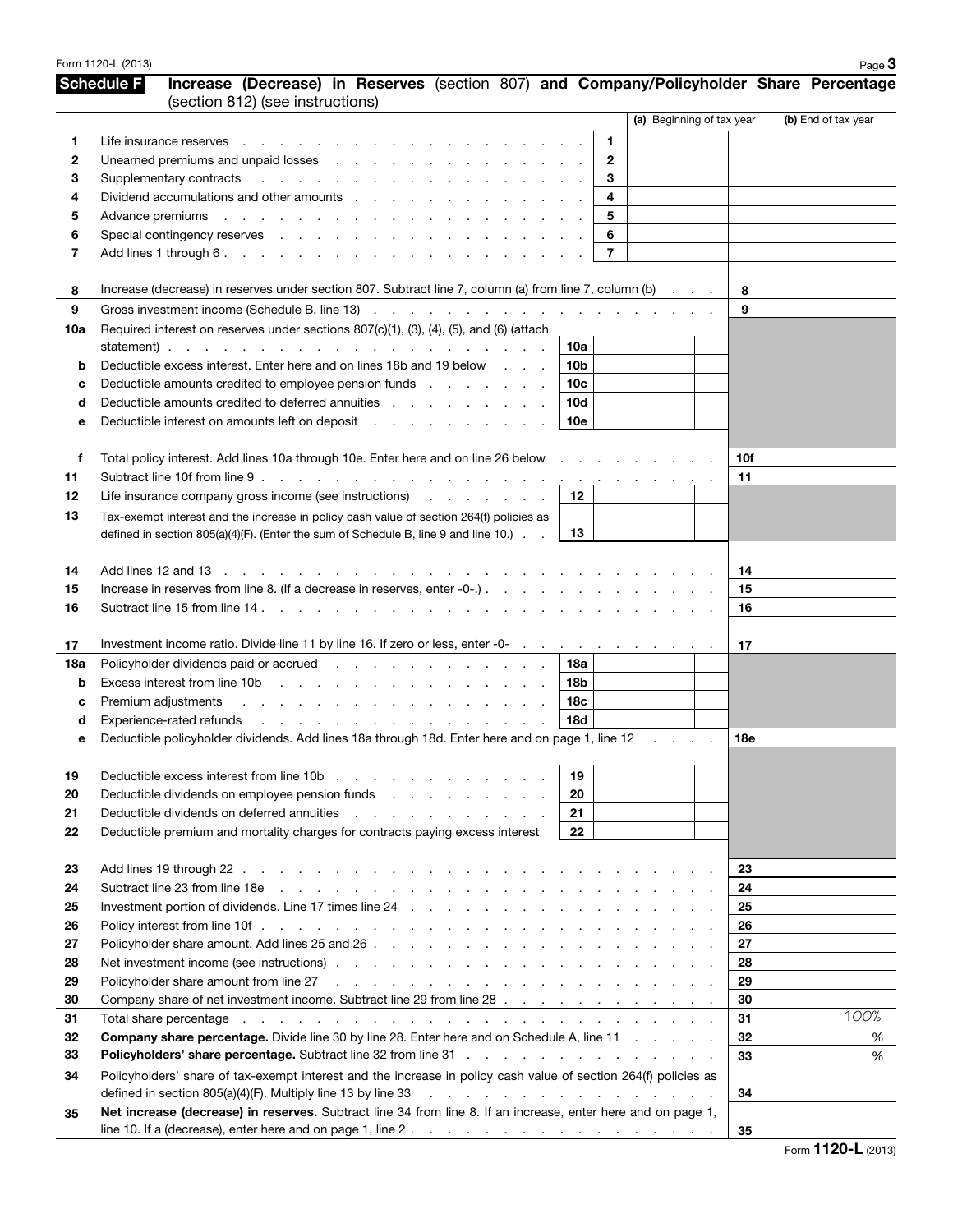|          | Form 1120-L (2013)                                                                                                                                                                                                             |                 |                |                           |     |                     | Page $3$ |
|----------|--------------------------------------------------------------------------------------------------------------------------------------------------------------------------------------------------------------------------------|-----------------|----------------|---------------------------|-----|---------------------|----------|
|          | <b>Schedule F</b><br>Increase (Decrease) in Reserves (section 807) and Company/Policyholder Share Percentage                                                                                                                   |                 |                |                           |     |                     |          |
|          | (section 812) (see instructions)                                                                                                                                                                                               |                 |                |                           |     |                     |          |
|          |                                                                                                                                                                                                                                |                 |                | (a) Beginning of tax year |     | (b) End of tax year |          |
| 1        | Life insurance reserves                                                                                                                                                                                                        |                 | 1.             |                           |     |                     |          |
| 2        | Unearned premiums and unpaid losses expansion and unpaid losses                                                                                                                                                                |                 | $\mathbf{2}$   |                           |     |                     |          |
| з        | Supplementary contracts<br>the contract of the contract of                                                                                                                                                                     |                 | 3              |                           |     |                     |          |
| 4        | Dividend accumulations and other amounts                                                                                                                                                                                       |                 | 4              |                           |     |                     |          |
| 5        | Advance premiums                                                                                                                                                                                                               |                 | 5              |                           |     |                     |          |
| 6        | Special contingency reserves expansion of the series of the series of the series of the series of the series o                                                                                                                 |                 | 6              |                           |     |                     |          |
| 7        |                                                                                                                                                                                                                                |                 | $\overline{7}$ |                           |     |                     |          |
|          |                                                                                                                                                                                                                                |                 |                |                           |     |                     |          |
| 8        | Increase (decrease) in reserves under section 807. Subtract line 7, column (a) from line 7, column (b)                                                                                                                         |                 |                |                           | 8   |                     |          |
| 9        |                                                                                                                                                                                                                                |                 |                |                           | 9   |                     |          |
| 10a      | Required interest on reserves under sections 807(c)(1), (3), (4), (5), and (6) (attach                                                                                                                                         |                 |                |                           |     |                     |          |
|          | the contract of the contract of the contract of the contract of the contract of<br>statement).                                                                                                                                 | 10a             |                |                           |     |                     |          |
| b        | Deductible excess interest. Enter here and on lines 18b and 19 below                                                                                                                                                           | 10 <sub>b</sub> |                |                           |     |                     |          |
| c        | Deductible amounts credited to employee pension funds                                                                                                                                                                          | 10c             |                |                           |     |                     |          |
| d        | Deductible amounts credited to deferred annuities                                                                                                                                                                              | <b>10d</b>      |                |                           |     |                     |          |
| е        | Deductible interest on amounts left on deposit                                                                                                                                                                                 | 10e             |                |                           |     |                     |          |
|          |                                                                                                                                                                                                                                |                 |                |                           |     |                     |          |
| f        | Total policy interest. Add lines 10a through 10e. Enter here and on line 26 below                                                                                                                                              |                 |                |                           | 10f |                     |          |
| 11       | Subtract line 10f from line 9<br>the contract of the                                                                                                                                                                           |                 |                |                           | 11  |                     |          |
| 12       | Life insurance company gross income (see instructions)                                                                                                                                                                         | 12              |                |                           |     |                     |          |
| 13       | Tax-exempt interest and the increase in policy cash value of section 264(f) policies as                                                                                                                                        |                 |                |                           |     |                     |          |
|          | defined in section $805(a)(4)(F)$ . (Enter the sum of Schedule B, line 9 and line 10.) $\ldots$                                                                                                                                | 13              |                |                           |     |                     |          |
|          |                                                                                                                                                                                                                                |                 |                |                           |     |                     |          |
| 14       |                                                                                                                                                                                                                                |                 |                |                           | 14  |                     |          |
| 15       | Increase in reserves from line 8. (If a decrease in reserves, enter -0-.)                                                                                                                                                      |                 |                |                           | 15  |                     |          |
| 16       | Subtract line 15 from line 14.                                                                                                                                                                                                 |                 |                |                           | 16  |                     |          |
|          |                                                                                                                                                                                                                                |                 |                |                           |     |                     |          |
| 17       | Investment income ratio. Divide line 11 by line 16. If zero or less, enter -0-                                                                                                                                                 |                 |                |                           | 17  |                     |          |
| 18a      | Policyholder dividends paid or accrued entity and some control of the control of the control of the control of the control of the control of the control of the control of the control of the control of the control of the co | 18a             |                |                           |     |                     |          |
| b        | Excess interest from line 10b                                                                                                                                                                                                  | 18 <sub>b</sub> |                |                           |     |                     |          |
| c        | Premium adjustments                                                                                                                                                                                                            | 18 <sub>c</sub> |                |                           |     |                     |          |
| d        | Experience-rated refunds<br>and a series of the contract of the contract of the con-                                                                                                                                           | <b>18d</b>      |                |                           |     |                     |          |
| е        | Deductible policyholder dividends. Add lines 18a through 18d. Enter here and on page 1, line 12                                                                                                                                |                 |                |                           | 18e |                     |          |
|          |                                                                                                                                                                                                                                | 19              |                |                           |     |                     |          |
| 19       | Deductible excess interest from line 10b<br>Deductible dividends on employee pension funds results and results are all the Deductible dividends on employee pension funds                                                      | 20              |                |                           |     |                     |          |
| 20       |                                                                                                                                                                                                                                | 21              |                |                           |     |                     |          |
| 21<br>22 | Deductible premium and mortality charges for contracts paying excess interest                                                                                                                                                  | 22              |                |                           |     |                     |          |
|          |                                                                                                                                                                                                                                |                 |                |                           |     |                     |          |
| 23       |                                                                                                                                                                                                                                |                 |                |                           | 23  |                     |          |
| 24       |                                                                                                                                                                                                                                |                 |                |                           | 24  |                     |          |
| 25       | Investment portion of dividends. Line 17 times line 24 \cdot by contact the contact of the line of the line of the line of the line of the line of the line of the line of the line of the line of the line of the line of the |                 |                |                           | 25  |                     |          |
| 26       |                                                                                                                                                                                                                                |                 |                |                           | 26  |                     |          |
| 27       |                                                                                                                                                                                                                                |                 |                |                           | 27  |                     |          |
| 28       |                                                                                                                                                                                                                                |                 |                |                           | 28  |                     |          |
| 29       | Policyholder share amount from line 27 (a) and a series and a series and a series of the state of the state of the state of the state of the state of the state of the state of the state of the state of the state of the sta |                 |                |                           | 29  |                     |          |
| 30       | Company share of net investment income. Subtract line 29 from line 28                                                                                                                                                          |                 |                |                           | 30  |                     |          |
| 31       | Total share percentage entering the contract of the contract of the contract of the contract of the contract of                                                                                                                |                 |                |                           | 31  |                     | 100%     |
| 32       | <b>Company share percentage.</b> Divide line 30 by line 28. Enter here and on Schedule A, line 11                                                                                                                              |                 |                |                           | 32  |                     | %        |
| 33       |                                                                                                                                                                                                                                |                 |                |                           | 33  |                     | %        |
| 34       | Policyholders' share of tax-exempt interest and the increase in policy cash value of section 264(f) policies as                                                                                                                |                 |                |                           |     |                     |          |
|          | defined in section 805(a)(4)(F). Multiply line 13 by line 33 $\ldots$ $\ldots$ $\ldots$ $\ldots$ $\ldots$ $\ldots$ $\ldots$                                                                                                    |                 |                |                           | 34  |                     |          |
| 35       | Net increase (decrease) in reserves. Subtract line 34 from line 8. If an increase, enter here and on page 1,                                                                                                                   |                 |                |                           |     |                     |          |
|          |                                                                                                                                                                                                                                |                 |                |                           | 35  |                     |          |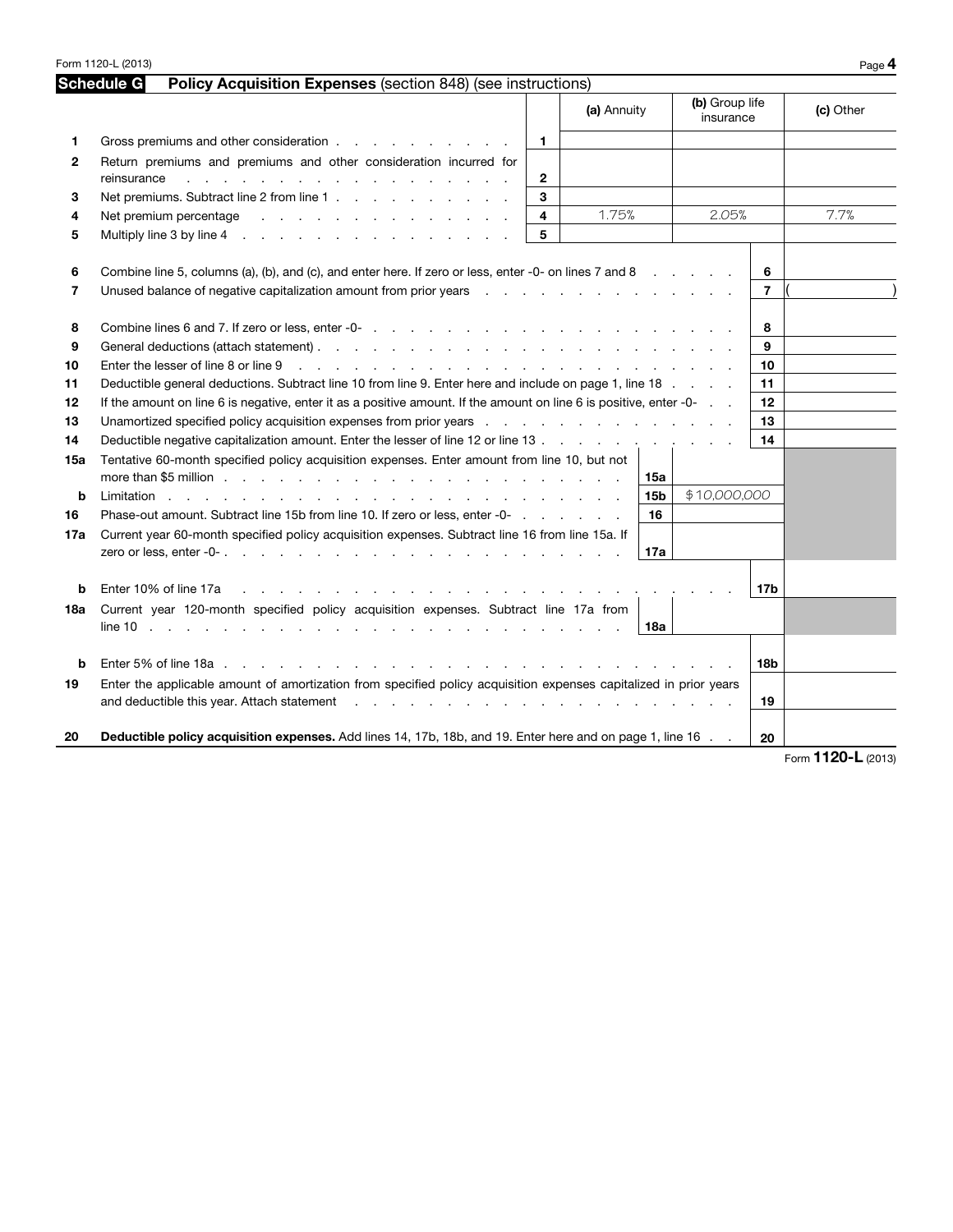|     | Form 1120-L (2013)                                                                                                                                                                                                                |                         |             |                 |                             |                | Page 4             |
|-----|-----------------------------------------------------------------------------------------------------------------------------------------------------------------------------------------------------------------------------------|-------------------------|-------------|-----------------|-----------------------------|----------------|--------------------|
|     | Schedule G<br>Policy Acquisition Expenses (section 848) (see instructions)                                                                                                                                                        |                         |             |                 |                             |                |                    |
|     |                                                                                                                                                                                                                                   |                         | (a) Annuity |                 | (b) Group life<br>insurance |                | (c) Other          |
| 1   | Gross premiums and other consideration                                                                                                                                                                                            | 1.                      |             |                 |                             |                |                    |
| 2   | Return premiums and premiums and other consideration incurred for                                                                                                                                                                 |                         |             |                 |                             |                |                    |
|     | reinsurance<br>the companies of the companies of the companies of the companies of                                                                                                                                                | $\mathbf{2}$            |             |                 |                             |                |                    |
| 3   | Net premiums. Subtract line 2 from line 1                                                                                                                                                                                         | 3                       |             |                 |                             |                |                    |
| 4   | Net premium percentage                                                                                                                                                                                                            | $\overline{\mathbf{4}}$ | 1.75%       |                 | 2.05%                       |                | 7.7%               |
| 5   |                                                                                                                                                                                                                                   | 5                       |             |                 |                             |                |                    |
| 6   | Combine line 5, columns (a), (b), and (c), and enter here. If zero or less, enter -0- on lines 7 and 8                                                                                                                            |                         |             |                 |                             | 6              |                    |
| 7   | Unused balance of negative capitalization amount from prior years enters on the context of the state of the Unus                                                                                                                  |                         |             |                 |                             | $\overline{7}$ |                    |
|     |                                                                                                                                                                                                                                   |                         |             |                 |                             |                |                    |
| 8   | Combine lines 6 and 7. If zero or less, enter -0-<br>example 2014 and 2015 and 2016 and 2016 and 2016 and 2016 and 2016 and 2016 and 2016 and 2016 and 2016 and 20<br>1. The Company of the Company of the Company of the Company |                         |             |                 |                             | 8              |                    |
| 9   | General deductions (attach statement). The contract of the contract of the contract of the contract of the contract of the contract of the contract of the contract of the contract of the contract of the contract of the con    |                         |             |                 |                             | 9              |                    |
| 10  |                                                                                                                                                                                                                                   |                         |             |                 |                             | 10             |                    |
| 11  | Deductible general deductions. Subtract line 10 from line 9. Enter here and include on page 1, line 18                                                                                                                            |                         |             |                 |                             | 11             |                    |
| 12  | If the amount on line 6 is negative, enter it as a positive amount. If the amount on line 6 is positive, enter -0-                                                                                                                |                         |             |                 |                             | 12             |                    |
| 13  | Unamortized specified policy acquisition expenses from prior years enters and account of the set of the United States of the United States of the United States of the United States of the United States of the United States    |                         |             |                 |                             | 13             |                    |
| 14  | Deductible negative capitalization amount. Enter the lesser of line 12 or line 13                                                                                                                                                 |                         |             |                 |                             | 14             |                    |
| 15a | Tentative 60-month specified policy acquisition expenses. Enter amount from line 10, but not                                                                                                                                      |                         |             |                 |                             |                |                    |
|     | more than \$5 million by a contract of the contract of the contract of the contract of the contract of the contract of the contract of the contract of the contract of the contract of the contract of the contract of the cont   |                         |             | 15a             |                             |                |                    |
| b   |                                                                                                                                                                                                                                   |                         |             | 15 <sub>b</sub> | \$10,000,000                |                |                    |
| 16  | Phase-out amount. Subtract line 15b from line 10. If zero or less, enter -0-                                                                                                                                                      |                         |             | 16              |                             |                |                    |
| 17a | Current year 60-month specified policy acquisition expenses. Subtract line 16 from line 15a. If                                                                                                                                   |                         |             |                 |                             |                |                    |
|     | zero or less, enter -0- $\ldots$ $\ldots$ $\ldots$ $\ldots$ $\ldots$ $\ldots$ $\ldots$ $\ldots$ $\ldots$ $\ldots$ $\ldots$                                                                                                        |                         |             | 17a             |                             |                |                    |
|     |                                                                                                                                                                                                                                   |                         |             |                 |                             |                |                    |
| b   | Enter 10% of line 17a<br>the contract of the contract of the contract of the contract of the contract of the contract of the contract of                                                                                          |                         |             |                 |                             | 17b            |                    |
| 18a | Current year 120-month specified policy acquisition expenses. Subtract line 17a from                                                                                                                                              |                         |             |                 |                             |                |                    |
|     |                                                                                                                                                                                                                                   |                         |             | 18a             |                             |                |                    |
|     |                                                                                                                                                                                                                                   |                         |             |                 |                             |                |                    |
| b   |                                                                                                                                                                                                                                   |                         |             |                 |                             | 18b            |                    |
| 19  | Enter the applicable amount of amortization from specified policy acquisition expenses capitalized in prior years                                                                                                                 |                         |             |                 |                             |                |                    |
|     | and deductible this year. Attach statement expansion of the contract of the contract of the contract of the contract of the contract of the contract of the contract of the contract of the contract of the contract of the co    |                         |             |                 |                             | 19             |                    |
|     |                                                                                                                                                                                                                                   |                         |             |                 |                             |                |                    |
| 20  | Deductible policy acquisition expenses. Add lines 14, 17b, 18b, and 19. Enter here and on page 1, line 16                                                                                                                         |                         |             |                 |                             | 20             | Form 1120-L (2013) |
|     |                                                                                                                                                                                                                                   |                         |             |                 |                             |                |                    |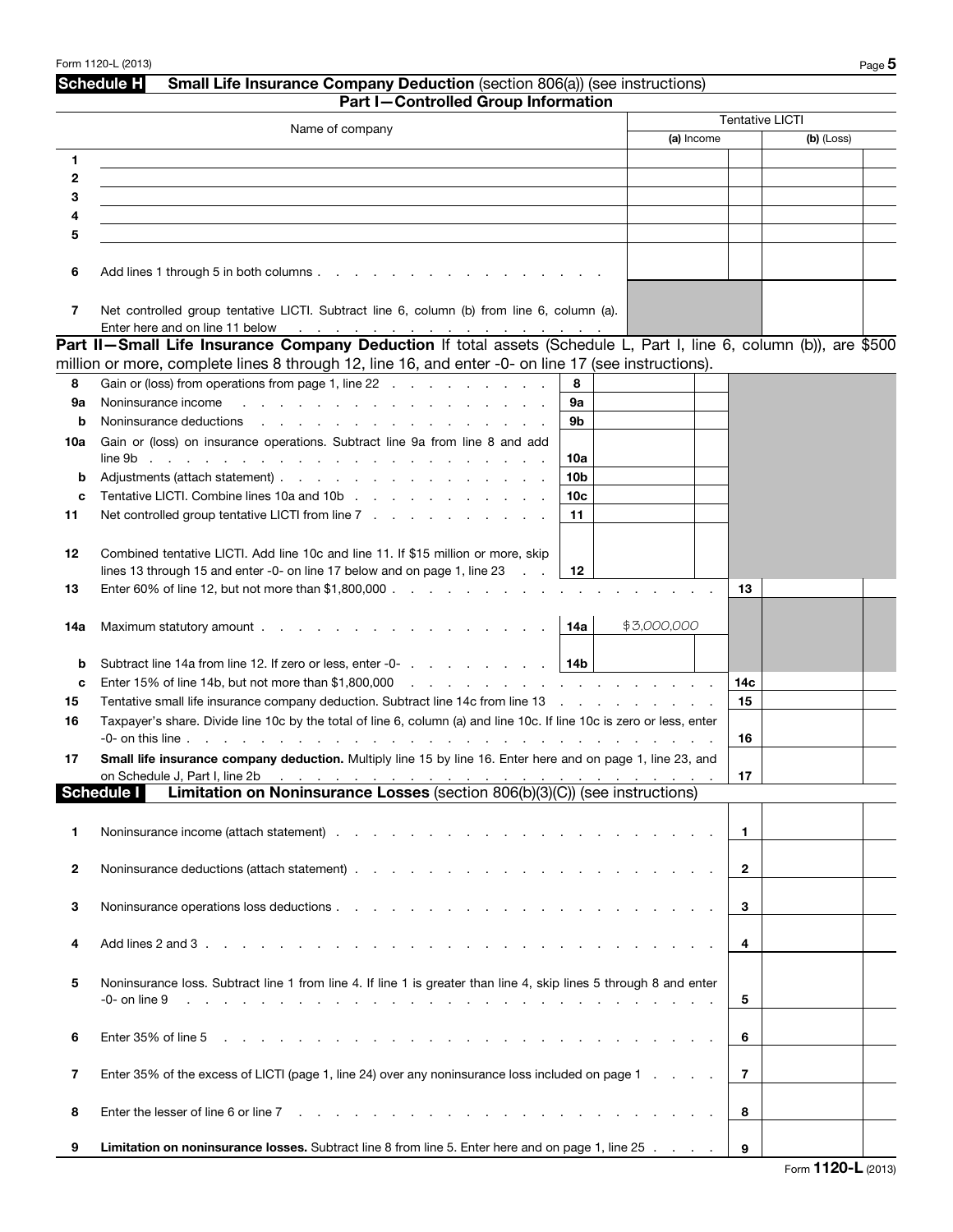| Form 1120-L (2013)<br>$\sim$ $\sim$ $\sim$ $\sim$ $\sim$ | Page 5 |
|----------------------------------------------------------|--------|
|----------------------------------------------------------|--------|

## Schedule H Small Life Insurance Company Deduction (section 806(a)) (see instructions) Part I-Controlled Group Information

|         | $-$ outri office of oup fillof fields                                                                                                                                                                                                                                                                                        |                                    |  |             |  |                | <b>Tentative LICTI</b> |              |  |
|---------|------------------------------------------------------------------------------------------------------------------------------------------------------------------------------------------------------------------------------------------------------------------------------------------------------------------------------|------------------------------------|--|-------------|--|----------------|------------------------|--------------|--|
|         | Name of company<br>(a) Income                                                                                                                                                                                                                                                                                                |                                    |  |             |  |                |                        | $(b)$ (Loss) |  |
| 1.      |                                                                                                                                                                                                                                                                                                                              |                                    |  |             |  |                |                        |              |  |
| 2       |                                                                                                                                                                                                                                                                                                                              |                                    |  |             |  |                |                        |              |  |
| 3       |                                                                                                                                                                                                                                                                                                                              |                                    |  |             |  |                |                        |              |  |
| 4       |                                                                                                                                                                                                                                                                                                                              |                                    |  |             |  |                |                        |              |  |
| 5       |                                                                                                                                                                                                                                                                                                                              |                                    |  |             |  |                |                        |              |  |
| 6       |                                                                                                                                                                                                                                                                                                                              |                                    |  |             |  |                |                        |              |  |
| 7       | Net controlled group tentative LICTI. Subtract line 6, column (b) from line 6, column (a).<br>Enter here and on line 11 below entertainment of the state of the state of the loop of the line of the line of the line of the line of the line of the line of the line of the line of the line of the line of the line of the |                                    |  |             |  |                |                        |              |  |
|         |                                                                                                                                                                                                                                                                                                                              |                                    |  |             |  |                |                        |              |  |
|         | million or more, complete lines 8 through 12, line 16, and enter -0- on line 17 (see instructions).                                                                                                                                                                                                                          |                                    |  |             |  |                |                        |              |  |
| 8       | Gain or (loss) from operations from page 1, line 22                                                                                                                                                                                                                                                                          | 8                                  |  |             |  |                |                        |              |  |
| 9а      | Noninsurance income<br>the contract of the contract of the contract of the contract of the contract of the contract of the contract of                                                                                                                                                                                       | 9a                                 |  |             |  |                |                        |              |  |
| b       | Noninsurance deductions<br>and the contract of the contract of the contract of the contract of the contract of the contract of the contract of the contract of the contract of the contract of the contract of the contract of the contract of the contra                                                                    | 9b                                 |  |             |  |                |                        |              |  |
| 10a     | Gain or (loss) on insurance operations. Subtract line 9a from line 8 and add                                                                                                                                                                                                                                                 |                                    |  |             |  |                |                        |              |  |
|         |                                                                                                                                                                                                                                                                                                                              | 10a                                |  |             |  |                |                        |              |  |
| b       | Adjustments (attach statement)                                                                                                                                                                                                                                                                                               | 10 <sub>b</sub><br>10 <sub>c</sub> |  |             |  |                |                        |              |  |
| c<br>11 | Net controlled group tentative LICTI from line 7                                                                                                                                                                                                                                                                             | 11                                 |  |             |  |                |                        |              |  |
|         |                                                                                                                                                                                                                                                                                                                              |                                    |  |             |  |                |                        |              |  |
| 12      | Combined tentative LICTI. Add line 10c and line 11. If \$15 million or more, skip                                                                                                                                                                                                                                            |                                    |  |             |  |                |                        |              |  |
|         | lines 13 through 15 and enter -0- on line 17 below and on page 1, line 23                                                                                                                                                                                                                                                    | 12                                 |  |             |  |                |                        |              |  |
| 13      | Enter 60% of line 12, but not more than $$1,800,000$                                                                                                                                                                                                                                                                         | $\mathbf{r}$ and $\mathbf{r}$      |  |             |  | 13             |                        |              |  |
|         |                                                                                                                                                                                                                                                                                                                              |                                    |  |             |  |                |                        |              |  |
| 14a     |                                                                                                                                                                                                                                                                                                                              | 14a                                |  | \$3,000,000 |  |                |                        |              |  |
|         |                                                                                                                                                                                                                                                                                                                              |                                    |  |             |  |                |                        |              |  |
| b       | Subtract line 14a from line 12. If zero or less, enter -0-                                                                                                                                                                                                                                                                   | $\vert$ 14b                        |  |             |  |                |                        |              |  |
| c       | Enter 15% of line 14b, but not more than \$1,800,000<br>the second contract of the second contract of the second contract of the second contract of the second contract of the second contract of the second contract of the second contract of the second contract of the second cont                                       |                                    |  |             |  | 14с            |                        |              |  |
| 15      | Tentative small life insurance company deduction. Subtract line 14c from line 13                                                                                                                                                                                                                                             |                                    |  |             |  | 15             |                        |              |  |
| 16      | Taxpayer's share. Divide line 10c by the total of line 6, column (a) and line 10c. If line 10c is zero or less, enter<br>-0- on this line.<br>and a state of the state of the                                                                                                                                                |                                    |  |             |  | 16             |                        |              |  |
| 17      | Small life insurance company deduction. Multiply line 15 by line 16. Enter here and on page 1, line 23, and                                                                                                                                                                                                                  |                                    |  |             |  |                |                        |              |  |
|         | on Schedule J, Part I, line 2b<br>the contract of the contract of the contract of the contract of the contract of                                                                                                                                                                                                            |                                    |  |             |  | 17             |                        |              |  |
|         | Limitation on Noninsurance Losses (section 806(b)(3)(C)) (see instructions)<br><b>Schedule I</b>                                                                                                                                                                                                                             |                                    |  |             |  |                |                        |              |  |
| 1.      | Noninsurance income (attach statement) expansion and the state of the state of the state of the state of the state of the state of the state of the state of the state of the state of the state of the state of the state of                                                                                                |                                    |  |             |  | $\mathbf 1$    |                        |              |  |
| 2       |                                                                                                                                                                                                                                                                                                                              |                                    |  |             |  | $\overline{2}$ |                        |              |  |
|         |                                                                                                                                                                                                                                                                                                                              |                                    |  |             |  |                |                        |              |  |
| 3       |                                                                                                                                                                                                                                                                                                                              |                                    |  |             |  | 3              |                        |              |  |
|         |                                                                                                                                                                                                                                                                                                                              |                                    |  |             |  |                |                        |              |  |
| 4       |                                                                                                                                                                                                                                                                                                                              |                                    |  |             |  | 4              |                        |              |  |
|         |                                                                                                                                                                                                                                                                                                                              |                                    |  |             |  |                |                        |              |  |
| 5       | Noninsurance loss. Subtract line 1 from line 4. If line 1 is greater than line 4, skip lines 5 through 8 and enter                                                                                                                                                                                                           |                                    |  |             |  |                |                        |              |  |
|         | $-0-$ on line $9$<br><u>in the second contract of the second second</u><br>the contract of the contract of the contract of the contract of the contract of the contract of the contract of                                                                                                                                   |                                    |  |             |  | 5              |                        |              |  |
|         |                                                                                                                                                                                                                                                                                                                              |                                    |  |             |  |                |                        |              |  |
| 6       |                                                                                                                                                                                                                                                                                                                              |                                    |  |             |  | 6              |                        |              |  |
| 7       |                                                                                                                                                                                                                                                                                                                              |                                    |  |             |  | $\overline{7}$ |                        |              |  |
|         | Enter 35% of the excess of LICTI (page 1, line 24) over any noninsurance loss included on page 1                                                                                                                                                                                                                             |                                    |  |             |  |                |                        |              |  |
| 8       | Enter the lesser of line 6 or line 7.<br>the second contract of the second contract of the second contract of the second contract of the second contract of the second contract of the second contract of the second contract of the second contract of the second cont                                                      |                                    |  |             |  | 8              |                        |              |  |
|         |                                                                                                                                                                                                                                                                                                                              |                                    |  |             |  |                |                        |              |  |
| 9       | Limitation on noninsurance losses. Subtract line 8 from line 5. Enter here and on page 1, line 25                                                                                                                                                                                                                            |                                    |  |             |  | 9              |                        |              |  |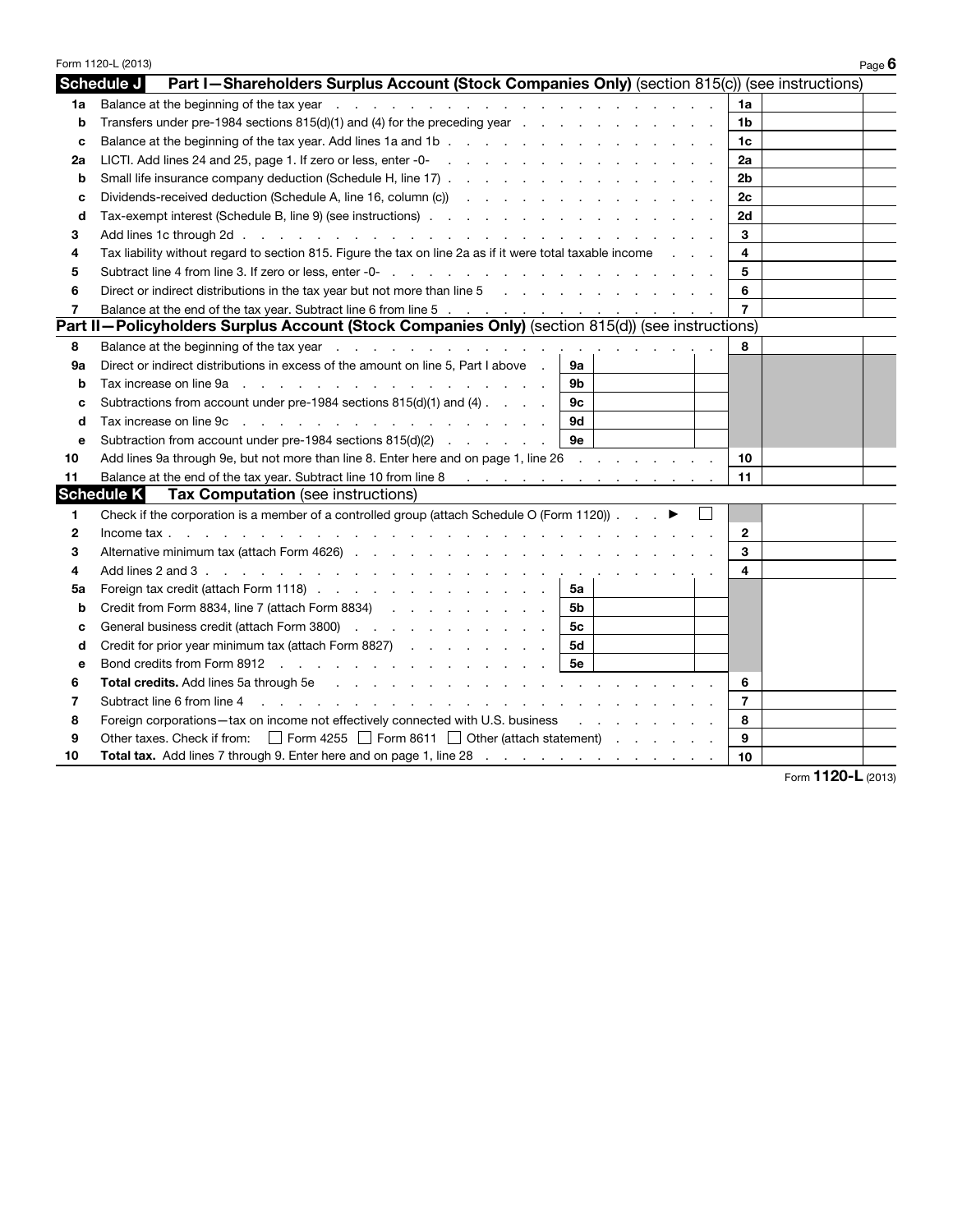|    | Form 1120-L (2013)                                                                                                                                                                                                                                    |                         | Page 6 |
|----|-------------------------------------------------------------------------------------------------------------------------------------------------------------------------------------------------------------------------------------------------------|-------------------------|--------|
|    | Schedule J<br>Part I-Shareholders Surplus Account (Stock Companies Only) (section 815(c)) (see instructions)                                                                                                                                          |                         |        |
| 1a |                                                                                                                                                                                                                                                       | 1a                      |        |
| b  | Transfers under pre-1984 sections $815(d)(1)$ and (4) for the preceding year $\ldots$ .                                                                                                                                                               | 1b                      |        |
| c  |                                                                                                                                                                                                                                                       | 1c                      |        |
| 2a |                                                                                                                                                                                                                                                       | 2a                      |        |
| b  |                                                                                                                                                                                                                                                       | 2 <sub>b</sub>          |        |
| C  | Dividends-received deduction (Schedule A, line 16, column (c)) result and containing the containing of the Dividends of the Dividends of the Dividends of the Dividends of the Dividends of the Dividends of the Dividends of                         | 2c                      |        |
| d  |                                                                                                                                                                                                                                                       | 2d                      |        |
| 3  |                                                                                                                                                                                                                                                       | 3                       |        |
| 4  | Tax liability without regard to section 815. Figure the tax on line 2a as if it were total taxable income                                                                                                                                             | 4                       |        |
| 5  | Subtract line 4 from line 3. If zero or less, enter -0-                                                                                                                                                                                               | 5                       |        |
| 6  | Direct or indirect distributions in the tax year but not more than line $5 \ldots$ ,                                                                                                                                                                  | 6                       |        |
| 7  |                                                                                                                                                                                                                                                       | $\overline{7}$          |        |
|    | Part II-Policyholders Surplus Account (Stock Companies Only) (section 815(d)) (see instructions)                                                                                                                                                      |                         |        |
| 8  |                                                                                                                                                                                                                                                       | 8                       |        |
| 9а | Direct or indirect distributions in excess of the amount on line 5, Part I above.<br>9а                                                                                                                                                               |                         |        |
| b  | Tax increase on line 9a<br>9b<br>the contract of the contract of the contract of the contract of                                                                                                                                                      |                         |        |
| c  | Subtractions from account under pre-1984 sections 815(d)(1) and (4)<br>9c                                                                                                                                                                             |                         |        |
| d  | Tax increase on line 9c<br><b>9d</b><br>$\frac{1}{2}$ , $\frac{1}{2}$ , $\frac{1}{2}$ , $\frac{1}{2}$ , $\frac{1}{2}$ , $\frac{1}{2}$ , $\frac{1}{2}$ , $\frac{1}{2}$ , $\frac{1}{2}$ , $\frac{1}{2}$ , $\frac{1}{2}$ , $\frac{1}{2}$ , $\frac{1}{2}$ |                         |        |
| е  | Subtraction from account under pre-1984 sections 815(d)(2)<br>9е                                                                                                                                                                                      |                         |        |
| 10 | Add lines 9a through 9e, but not more than line 8. Enter here and on page 1, line 26                                                                                                                                                                  | 10                      |        |
| 11 | Balance at the end of the tax year. Subtract line 10 from line 8<br>the contract of the contract of the contract of                                                                                                                                   | 11                      |        |
|    | <b>Schedule K</b><br>Tax Computation (see instructions)                                                                                                                                                                                               |                         |        |
| 1. | Check if the corporation is a member of a controlled group (attach Schedule O (Form 1120)). $\blacksquare$                                                                                                                                            |                         |        |
| 2  | Income tax.<br>$\mathbf{r}$ , and $\mathbf{r}$ , and $\mathbf{r}$ , and $\mathbf{r}$                                                                                                                                                                  | $\mathbf{2}$            |        |
| 3  |                                                                                                                                                                                                                                                       | 3                       |        |
| 4  |                                                                                                                                                                                                                                                       | 4                       |        |
| 5a | Foreign tax credit (attach Form 1118)<br>5a                                                                                                                                                                                                           |                         |        |
| b  | 5b                                                                                                                                                                                                                                                    |                         |        |
| c  | General business credit (attach Form 3800)<br>5с                                                                                                                                                                                                      |                         |        |
| d  | Credit for prior year minimum tax (attach Form 8827)<br>5d                                                                                                                                                                                            |                         |        |
| e  | Bond credits from Form 8912<br>5e                                                                                                                                                                                                                     |                         |        |
| 6  | <b>Total credits.</b> Add lines 5a through 5e reader and contact the contact of the contact of the contact of the contact of the contact of the contact of the contact of the contact of the contact of the contact of the contact                    | 6                       |        |
| 7  | Subtract line 6 from line 4<br>and the contract of the contract of the contract of the contract of the contract of                                                                                                                                    | $\overline{7}$          |        |
| 8  | Foreign corporations-tax on income not effectively connected with U.S. business                                                                                                                                                                       | 8                       |        |
| 9  | Other taxes. Check if from: $\Box$ Form 4255 $\Box$ Form 8611 $\Box$ Other (attach statement) $\Box$ .                                                                                                                                                | 9                       |        |
| 10 | Total tax. Add lines 7 through 9. Enter here and on page 1, line 28                                                                                                                                                                                   | 10<br>$\overline{1100}$ |        |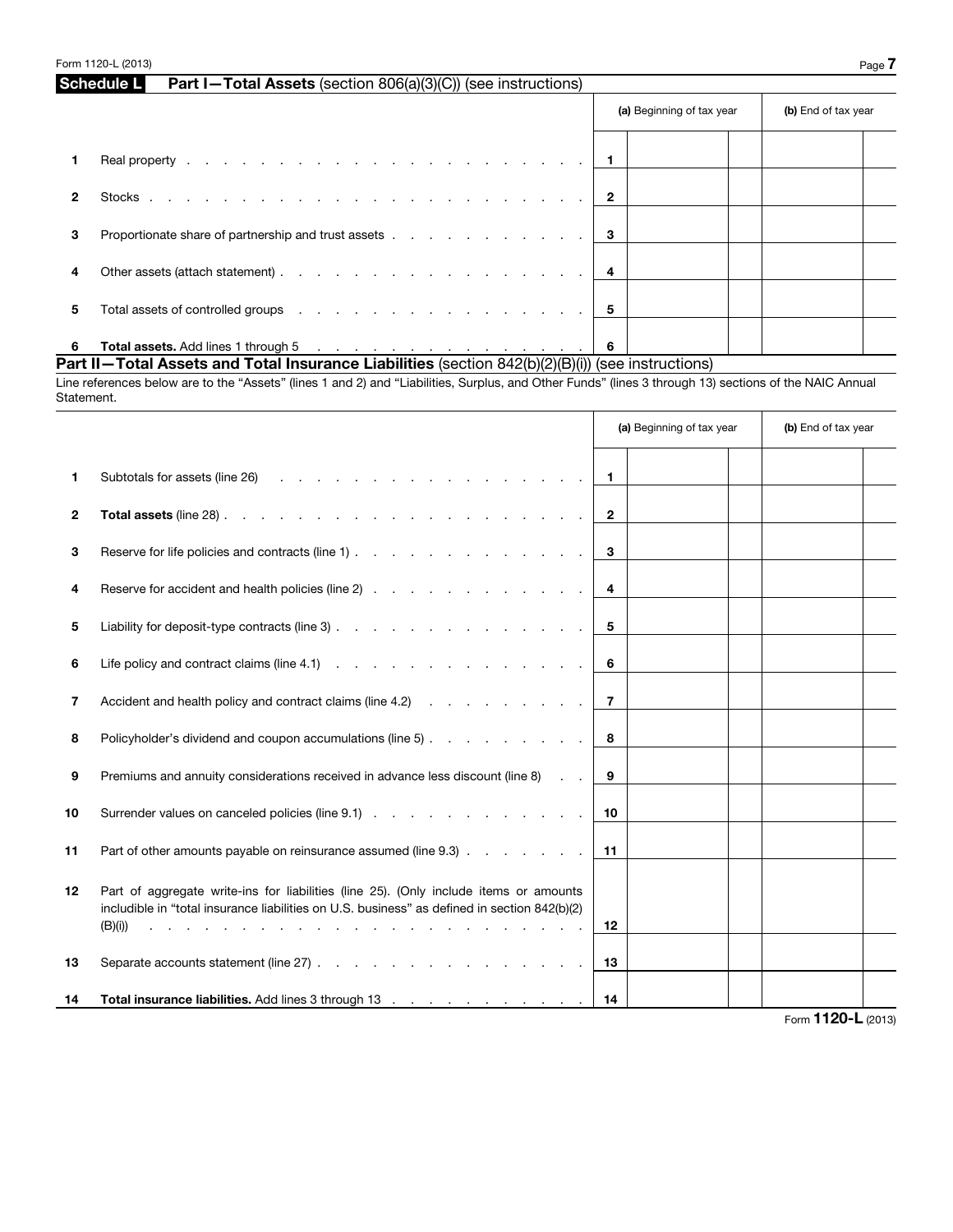| Schedule L I | <b>Part I-Total Assets</b> (section 806(a)(3)(C)) (see instructions) |
|--------------|----------------------------------------------------------------------|
|              |                                                                      |

|    |                                                                |                | (a) Beginning of tax year | (b) End of tax year |
|----|----------------------------------------------------------------|----------------|---------------------------|---------------------|
|    |                                                                |                |                           |                     |
|    |                                                                | $\overline{2}$ |                           |                     |
| 3  | Proportionate share of partnership and trust assets $\ldots$ 3 |                |                           |                     |
| 4  |                                                                |                |                           |                     |
| 5. |                                                                |                |                           |                     |
| 6. |                                                                |                |                           |                     |

| <b>Part II-Total Assets and Total Insurance Liabilities</b> (section $842(b)(2)(B)(i)$ ) (see instructions) |  |
|-------------------------------------------------------------------------------------------------------------|--|
|-------------------------------------------------------------------------------------------------------------|--|

Line references below are to the "Assets" (lines 1 and 2) and "Liabilities, Surplus, and Other Funds" (lines 3 through 13) sections of the NAIC Annual Statement.

|              |                                                                                                                                                                                                                                                                                                                     |                | (a) Beginning of tax year | (b) End of tax year            |  |
|--------------|---------------------------------------------------------------------------------------------------------------------------------------------------------------------------------------------------------------------------------------------------------------------------------------------------------------------|----------------|---------------------------|--------------------------------|--|
| 1            |                                                                                                                                                                                                                                                                                                                     | $\blacksquare$ |                           |                                |  |
| $\mathbf{2}$ | Total assets (line 28) $\ldots$ $\ldots$ $\ldots$ $\ldots$ $\ldots$ $\ldots$ $\ldots$ $\ldots$ $\ldots$                                                                                                                                                                                                             | $\overline{2}$ |                           |                                |  |
| 3            |                                                                                                                                                                                                                                                                                                                     | 3              |                           |                                |  |
| 4            | Reserve for accident and health policies (line 2)                                                                                                                                                                                                                                                                   | 4              |                           |                                |  |
| 5            | Liability for deposit-type contracts (line 3)                                                                                                                                                                                                                                                                       | 5              |                           |                                |  |
| 6            |                                                                                                                                                                                                                                                                                                                     | 6              |                           |                                |  |
| 7            | Accident and health policy and contract claims (line 4.2)                                                                                                                                                                                                                                                           | 7              |                           |                                |  |
| 8            | Policyholder's dividend and coupon accumulations (line 5)                                                                                                                                                                                                                                                           | 8              |                           |                                |  |
| 9            | Premiums and annuity considerations received in advance less discount (line 8)                                                                                                                                                                                                                                      | 9              |                           |                                |  |
| 10           | Surrender values on canceled policies (line 9.1)                                                                                                                                                                                                                                                                    | 10             |                           |                                |  |
| 11           | Part of other amounts payable on reinsurance assumed (line 9.3)                                                                                                                                                                                                                                                     | -11            |                           |                                |  |
| 12           | Part of aggregate write-ins for liabilities (line 25). (Only include items or amounts<br>includible in "total insurance liabilities on U.S. business" as defined in section 842(b)(2)<br>(B)(i))<br>the contract of the contract of the contract of the contract of the contract of the contract of the contract of | 12             |                           |                                |  |
| 13           | Separate accounts statement (line 27)                                                                                                                                                                                                                                                                               | -13            |                           |                                |  |
| 14           | <b>Total insurance liabilities.</b> Add lines 3 through 13                                                                                                                                                                                                                                                          | -14            |                           | $F_{\text{arm}}$ 1190-L (2012) |  |